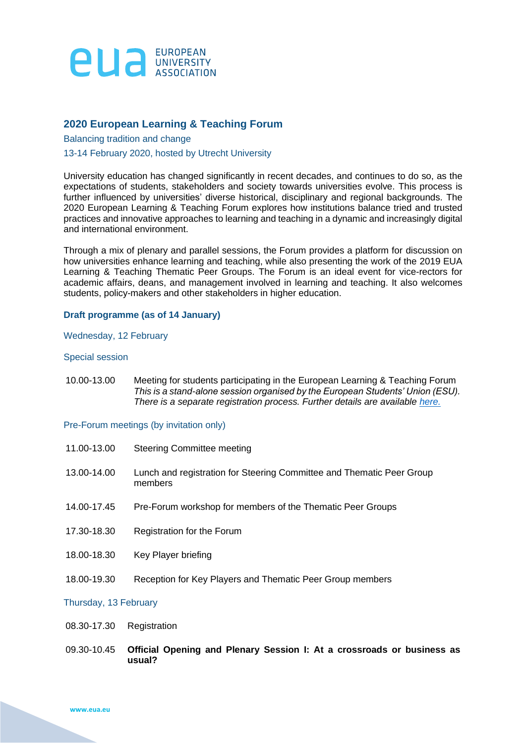

# **2020 European Learning & Teaching Forum**

Balancing tradition and change

## 13-14 February 2020, hosted by Utrecht University

University education has changed significantly in recent decades, and continues to do so, as the expectations of students, stakeholders and society towards universities evolve. This process is further influenced by universities' diverse historical, disciplinary and regional backgrounds. The 2020 European Learning & Teaching Forum explores how institutions balance tried and trusted practices and innovative approaches to learning and teaching in a dynamic and increasingly digital and international environment.

Through a mix of plenary and parallel sessions, the Forum provides a platform for discussion on how universities enhance learning and teaching, while also presenting the work of the 2019 EUA Learning & Teaching Thematic Peer Groups. The Forum is an ideal event for vice-rectors for academic affairs, deans, and management involved in learning and teaching. It also welcomes students, policy-makers and other stakeholders in higher education.

# **Draft programme (as of 14 January)**

### Wednesday, 12 February

### Special session

10.00-13.00 Meeting for students participating in the European Learning & Teaching Forum *This is a stand-alone session organised by the European Students' Union (ESU). There is a separate registration process. Further details are available [here.](https://www.eua.eu/downloads/content/esu_student%20meeting%20agenda.pdf)*

## Pre-Forum meetings (by invitation only)

11.00-13.00 Steering Committee meeting 13.00-14.00 Lunch and registration for Steering Committee and Thematic Peer Group members 14.00-17.45 Pre-Forum workshop for members of the Thematic Peer Groups 17.30-18.30 Registration for the Forum 18.00-18.30 Key Player briefing 18.00-19.30 Reception for Key Players and Thematic Peer Group members

### Thursday, 13 February

- 08.30-17.30 Registration
- 09.30-10.45 **Official Opening and Plenary Session I: At a crossroads or business as usual?**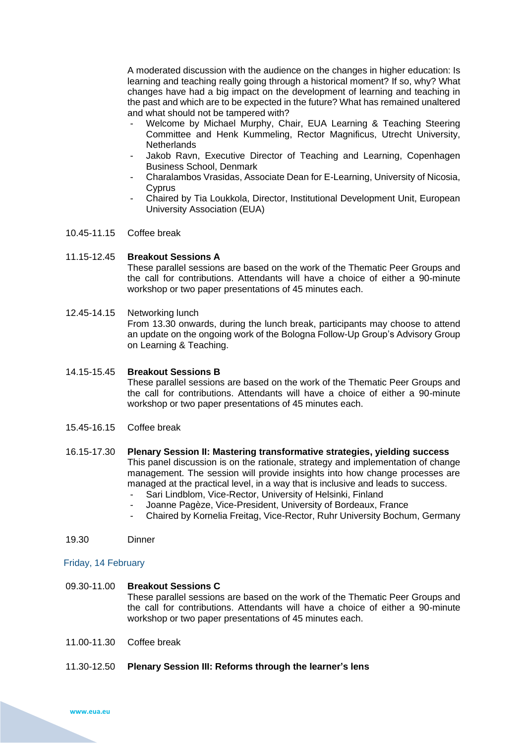A moderated discussion with the audience on the changes in higher education: Is learning and teaching really going through a historical moment? If so, why? What changes have had a big impact on the development of learning and teaching in the past and which are to be expected in the future? What has remained unaltered and what should not be tampered with?

- Welcome by Michael Murphy, Chair, EUA Learning & Teaching Steering Committee and Henk Kummeling, Rector Magnificus, Utrecht University, **Netherlands**
- Jakob Ravn, Executive Director of Teaching and Learning, Copenhagen Business School, Denmark
- Charalambos Vrasidas, Associate Dean for E-Learning, University of Nicosia, **C**yprus
- Chaired by Tia Loukkola, Director, Institutional Development Unit, European University Association (EUA)
- 10.45-11.15 Coffee break

### 11.15-12.45 **Breakout Sessions A**

These parallel sessions are based on the work of the Thematic Peer Groups and the call for contributions. Attendants will have a choice of either a 90-minute workshop or two paper presentations of 45 minutes each.

### 12.45-14.15 Networking lunch

From 13.30 onwards, during the lunch break, participants may choose to attend an update on the ongoing work of the Bologna Follow-Up Group's Advisory Group on Learning & Teaching.

### 14.15-15.45 **Breakout Sessions B**

These parallel sessions are based on the work of the Thematic Peer Groups and the call for contributions. Attendants will have a choice of either a 90-minute workshop or two paper presentations of 45 minutes each.

- 15.45-16.15 Coffee break
- 16.15-17.30 **Plenary Session II: Mastering transformative strategies, yielding success** This panel discussion is on the rationale, strategy and implementation of change management. The session will provide insights into how change processes are managed at the practical level, in a way that is inclusive and leads to success.
	- Sari Lindblom, Vice-Rector, University of Helsinki, Finland
	- Joanne Pagèze, Vice-President, University of Bordeaux, France
	- Chaired by Kornelia Freitag, Vice-Rector, Ruhr University Bochum, Germany

#### 19.30 Dinner

#### Friday, 14 February

## 09.30-11.00 **Breakout Sessions C**

These parallel sessions are based on the work of the Thematic Peer Groups and the call for contributions. Attendants will have a choice of either a 90-minute workshop or two paper presentations of 45 minutes each.

- 11.00-11.30 Coffee break
- 11.30-12.50 **Plenary Session III: Reforms through the learner's lens**